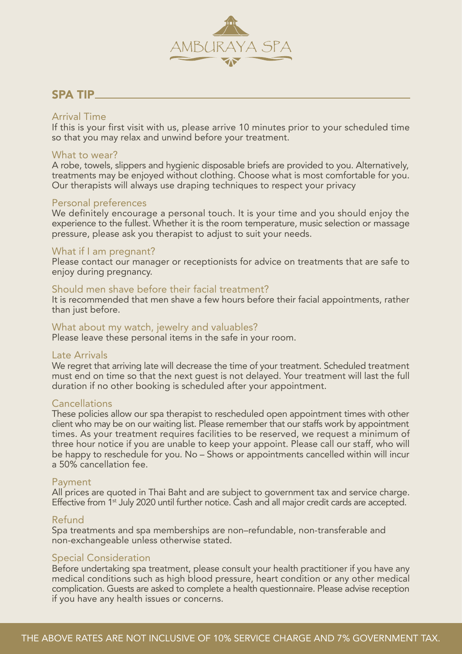

## SPA TIP

#### Arrival Time

If this is your first visit with us, please arrive 10 minutes prior to your scheduled time so that you may relax and unwind before your treatment.

#### What to wear?

A robe, towels, slippers and hygienic disposable briefs are provided to you. Alternatively, treatments may be enjoyed without clothing. Choose what is most comfortable for you. Our therapists will always use draping techniques to respect your privacy

#### Personal preferences

We definitely encourage a personal touch. It is your time and you should enjoy the experience to the fullest. Whether it is the room temperature, music selection or massage pressure, please ask you therapist to adjust to suit your needs.

#### What if I am pregnant?

Please contact our manager or receptionists for advice on treatments that are safe to enjoy during pregnancy.

#### Should men shave before their facial treatment?

It is recommended that men shave a few hours before their facial appointments, rather than just before.

#### What about my watch, jewelry and valuables?

Please leave these personal items in the safe in your room.

#### Late Arrivals

We regret that arriving late will decrease the time of your treatment. Scheduled treatment must end on time so that the next guest is not delayed. Your treatment will last the full duration if no other booking is scheduled after your appointment.

#### **Cancellations**

These policies allow our spa therapist to rescheduled open appointment times with other client who may be on our waiting list. Please remember that our staffs work by appointment times. As your treatment requires facilities to be reserved, we request a minimum of three hour notice if you are unable to keep your appoint. Please call our staff, who will be happy to reschedule for you. No – Shows or appointments cancelled within will incur a 50% cancellation fee.

#### Payment

All prices are quoted in Thai Baht and are subject to government tax and service charge. Effective from 1<sup>st</sup> July 2020 until further notice. Cash and all major credit cards are accepted.

#### Refund

Spa treatments and spa memberships are non–refundable, non-transferable and non-exchangeable unless otherwise stated.

#### Special Consideration

Before undertaking spa treatment, please consult your health practitioner if you have any medical conditions such as high blood pressure, heart condition or any other medical complication. Guests are asked to complete a health questionnaire. Please advise reception if you have any health issues or concerns.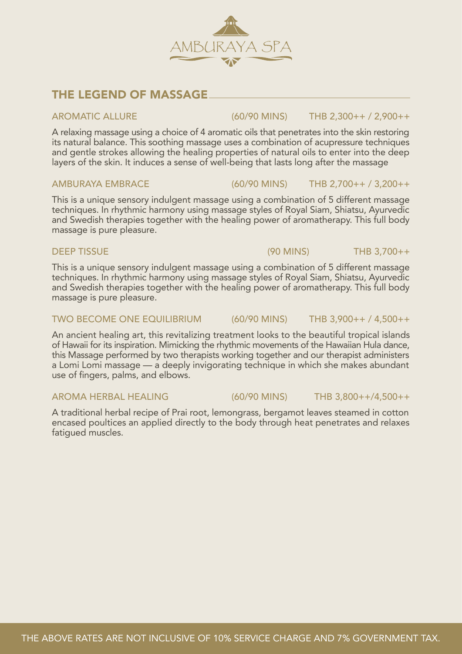## THE LEGEND OF MASSAGE

A relaxing massage using a choice of 4 aromatic oils that penetrates into the skin restoring its natural balance. This soothing massage uses a combination of acupressure techniques and gentle strokes allowing the healing properties of natural oils to enter into the deep layers of the skin. It induces a sense of well-being that lasts long after the massage

This is a unique sensory indulgent massage using a combination of 5 different massage techniques. In rhythmic harmony using massage styles of Royal Siam, Shiatsu, Ayurvedic and Swedish therapies together with the healing power of aromatherapy. This full body massage is pure pleasure.

This is a unique sensory indulgent massage using a combination of 5 different massage techniques. In rhythmic harmony using massage styles of Royal Siam, Shiatsu, Ayurvedic and Swedish therapies together with the healing power of aromatherapy. This full body massage is pure pleasure.

### TWO BECOME ONE EQUILIBRIUM (60/90 MINS) THB 3,900++ / 4,500++

An ancient healing art, this revitalizing treatment looks to the beautiful tropical islands of Hawaii for its inspiration. Mimicking the rhythmic movements of the Hawaiian Hula dance, this Massage performed by two therapists working together and our therapist administers a Lomi Lomi massage — a deeply invigorating technique in which she makes abundant use of fingers, palms, and elbows.

### AROMA HERBAL HEALING (60/90 MINS) THB 3,800++/4,500++

A traditional herbal recipe of Prai root, lemongrass, bergamot leaves steamed in cotton encased poultices an applied directly to the body through heat penetrates and relaxes fatigued muscles.

## AROMATIC ALLURE (60/90 MINS) THB 2,300++ / 2,900++

### AMBURAYA EMBRACE (60/90 MINS) THB 2,700++ / 3,200++

DEEP TISSUE (90 MINS) THB 3,700++

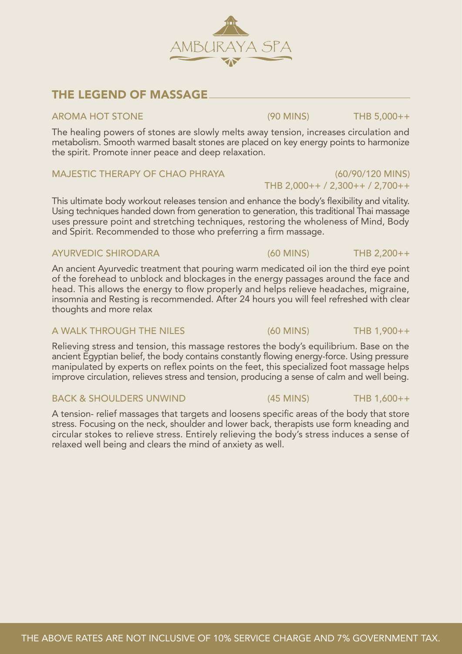## THE LEGEND OF MASSAGE

#### AROMA HOT STONE (90 MINS) THB 5,000++

The healing powers of stones are slowly melts away tension, increases circulation and metabolism. Smooth warmed basalt stones are placed on key energy points to harmonize the spirit. Promote inner peace and deep relaxation.

AMBCR

### MAJESTIC THERAPY OF CHAO PHRAYA (60/90/120 MINS)

This ultimate body workout releases tension and enhance the body's flexibility and vitality. Using techniques handed down from generation to generation, this traditional Thai massage uses pressure point and stretching techniques, restoring the wholeness of Mind, Body and Spirit. Recommended to those who preferring a firm massage.

### AYURVEDIC SHIRODARA (60 MINS) THB 2,200++

An ancient Ayurvedic treatment that pouring warm medicated oil ion the third eye point of the forehead to unblock and blockages in the energy passages around the face and head. This allows the energy to flow properly and helps relieve headaches, migraine, insomnia and Resting is recommended. After 24 hours you will feel refreshed with clear thoughts and more relax

### A WALK THROUGH THE NILES (60 MINS) THB 1,900++

Relieving stress and tension, this massage restores the body's equilibrium. Base on the ancient Egyptian belief, the body contains constantly flowing energy-force. Using pressure manipulated by experts on reflex points on the feet, this specialized foot massage helps improve circulation, relieves stress and tension, producing a sense of calm and well being.

A tension- relief massages that targets and loosens specific areas of the body that store stress. Focusing on the neck, shoulder and lower back, therapists use form kneading and circular stokes to relieve stress. Entirely relieving the body's stress induces a sense of relaxed well being and clears the mind of anxiety as well.



'A SPA



THB 2,000++ / 2,300++ / 2,700++

#### BACK & SHOULDERS UNWIND (45 MINS) THE 1,600++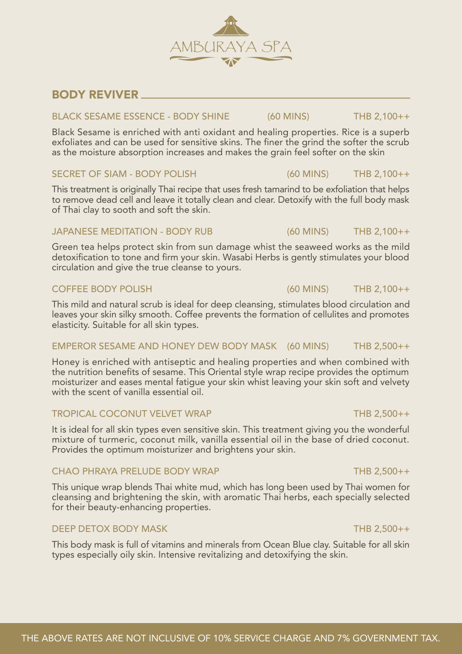## BODY REVIVER

### BLACK SESAME ESSENCE - BODY SHINE (60 MINS) THB 2,100++

Black Sesame is enriched with anti oxidant and healing properties. Rice is a superb exfoliates and can be used for sensitive skins. The finer the grind the softer the scrub as the moisture absorption increases and makes the grain feel softer on the skin

### SECRET OF SIAM - BODY POLISH (60 MINS) THB 2,100++

This treatment is originally Thai recipe that uses fresh tamarind to be exfoliation that helps to remove dead cell and leave it totally clean and clear. Detoxify with the full body mask of Thai clay to sooth and soft the skin.

### JAPANESE MEDITATION - BODY RUB (60 MINS) THB 2,100++

Green tea helps protect skin from sun damage whist the seaweed works as the mild detoxification to tone and firm your skin. Wasabi Herbs is gently stimulates your blood circulation and give the true cleanse to yours.

### COFFEE BODY POLISH (60 MINS) THB 2,100++

This mild and natural scrub is ideal for deep cleansing, stimulates blood circulation and leaves your skin silky smooth. Coffee prevents the formation of cellulites and promotes elasticity. Suitable for all skin types.

### EMPEROR SESAME AND HONEY DEW BODY MASK (60 MINS) THB 2,500++

Honey is enriched with antiseptic and healing properties and when combined with the nutrition benefits of sesame. This Oriental style wrap recipe provides the optimum moisturizer and eases mental fatigue your skin whist leaving your skin soft and velvety with the scent of vanilla essential oil.

### TROPICAL COCONUT VELVET WRAP THE 2,500++

It is ideal for all skin types even sensitive skin. This treatment giving you the wonderful mixture of turmeric, coconut milk, vanilla essential oil in the base of dried coconut. Provides the optimum moisturizer and brightens your skin.

### CHAO PHRAYA PRELUDE BODY WRAP THE 2,500++

This unique wrap blends Thai white mud, which has long been used by Thai women for cleansing and brightening the skin, with aromatic Thai herbs, each specially selected for their beauty-enhancing properties.

### DEEP DETOX BODY MASK THE 2,500++

This body mask is full of vitamins and minerals from Ocean Blue clay. Suitable for all skin types especially oily skin. Intensive revitalizing and detoxifying the skin.

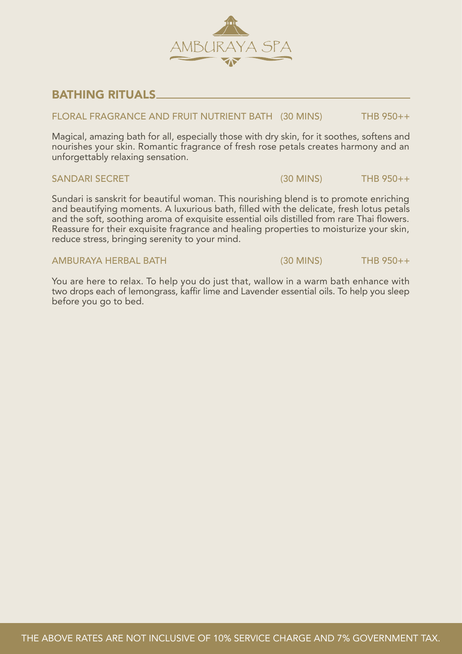

## BATHING RITUALS

#### FLORAL FRAGRANCE AND FRUIT NUTRIENT BATH (30 MINS) THB 950++

Magical, amazing bath for all, especially those with dry skin, for it soothes, softens and nourishes your skin. Romantic fragrance of fresh rose petals creates harmony and an unforgettably relaxing sensation.

#### SANDARI SECRET (30 MINS) THE 950++

Sundari is sanskrit for beautiful woman. This nourishing blend is to promote enriching and beautifying moments. A luxurious bath, filled with the delicate, fresh lotus petals and the soft, soothing aroma of exquisite essential oils distilled from rare Thai flowers. Reassure for their exquisite fragrance and healing properties to moisturize your skin, reduce stress, bringing serenity to your mind.

#### AMBURAYA HERBAL BATH (30 MINS) THB 950++

You are here to relax. To help you do just that, wallow in a warm bath enhance with two drops each of lemongrass, kaffir lime and Lavender essential oils. To help you sleep before you go to bed.